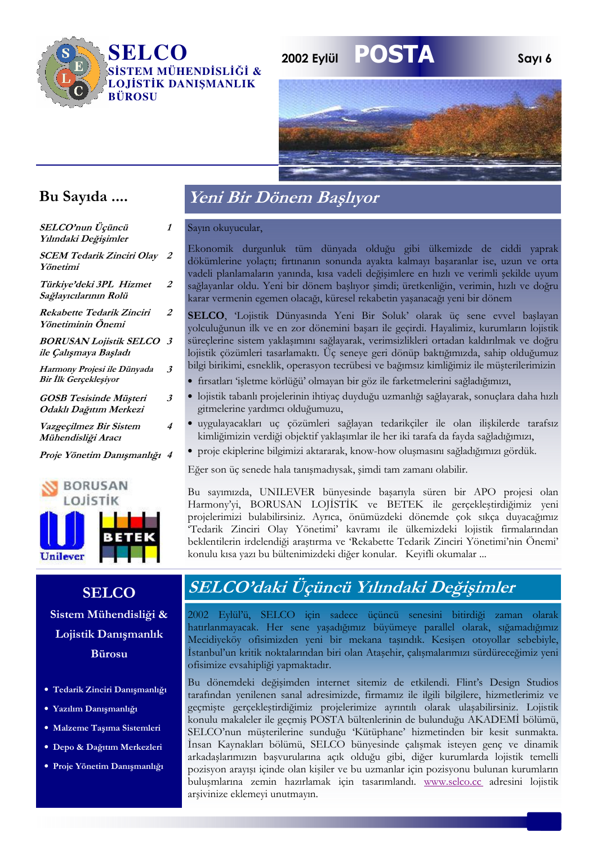

## **POSTA** 2002 Eylül



Sayı 6

## Bu Sayıda ....

| SELCO'nun Üçüncü<br>Yılındaki Değişimler                | 1                    | Ś           |
|---------------------------------------------------------|----------------------|-------------|
| <b>SCEM Tedarik Zinciri Olay</b><br>Yönetimi            | $\overline{2}$       | I<br>ċ      |
| Türkiye'deki 3PL Hizmet<br>Sağlayıcılarının Rolü        | 2                    | V<br>Ś<br>k |
| Rekabette Tedarik Zinciri<br>Yönetiminin Önemi          | 2                    | Ś<br>ÿ      |
| <b>BORUSAN Lojistik SELCO</b><br>ile Çalışmaya Başladı  | $\boldsymbol{\beta}$ | Ś<br>k      |
| Harmony Projesi ile Dünyada<br>Bir İlk Gerçekleşiyor    | $\boldsymbol{\beta}$ | b           |
| <b>GOSB</b> Tesisinde Müşteri<br>Odaklı Dağıtım Merkezi | $\boldsymbol{\beta}$ |             |
| Vazgeçilmez Bir Sistem<br>Mühendisliği Aracı            | 4                    |             |
| Proje Yönetim Danışmanlığı 4                            |                      |             |
|                                                         |                      | F           |
| <b>BORUSAN</b><br>LOJİSTİK                              |                      | F<br>F      |
|                                                         |                      | r           |

## Unilever **SELCO** Sistem Mühendisliği &

Lojistik Danışmanlık **Bürosu** 

- · Tedarik Zinciri Danışmanlığı
- · Yazılım Danışmanlığı
- · Malzeme Taşıma Sistemleri
- · Depo & Dağıtım Merkezleri
- Proje Yönetim Danısmanlığı

## Veni Bir Dönem Başlıyor

ayın okuyucular,

konomik durgunluk tüm dünyada olduğu gibi ülkemizde de ciddi yaprak ökümlerine volactı; fırtınanın sonunda ayakta kalmayı basaranlar ise, uzun ve orta adeli planlamaların yanında, kısa vadeli değisimlere en hızlı ve verimli sekilde uyum ağlayanlar oldu. Yeni bir dönem başlıyor şimdi; üretkenliğin, verimin, hızlı ve doğru arar vermenin egemen olacağı, küresel rekabetin yaşanacağı yeni bir dönem

ELCO, Lojistik Dünyasında Yeni Bir Soluk' olarak üç sene evvel başlayan olculuğunun ilk ve en zor dönemini başarı ile geçirdi. Hayalimiz, kurumların lojistik üreçlerine sistem yaklaşımını sağlayarak, verimsizlikleri ortadan kaldırılmak ve doğru pjistik çözümleri tasarlamaktı. Üç seneye geri dönüp baktığımızda, sahip olduğumuz ilgi birikimi, esneklik, operasyon tecrübesi ve bağımsız kimliğimiz ile müşterilerimizin

- fırsatları 'işletme körlüğü' olmayan bir göz ile farketmelerini sağladığımızı,
- lojistik tabanlı projelerinin ihtiyaç duyduğu uzmanlığı sağlayarak, sonuçlara daha hızlı gitmelerine yardımcı olduğumuzu,
- uygulayacakları uç çözümleri sağlayan tedarikçiler ile olan ilişkilerde tarafsız kimliğimizin verdiği objektif yaklaşımlar ile her iki tarafa da fayda sağladığımızı,
- proje ekiplerine bilgimizi aktararak, know-how oluşmasını sağladığımızı gördük.

ger son üç senede hala tanışmadıysak, şimdi tam zamanı olabilir.

Bu sayımızda, UNILEVER bünyesinde başarıyla süren bir APO projesi olan Harmony'yi, BORUSAN LOJİSTİK ve BETEK ile gerçekleştirdiğimiz yeni projelerimizi bulabilirsiniz. Ayrıca, önümüzdeki dönemde çok sıkça duyacağımız Tedarik Zinciri Olay Yönetimi' kavramı ile ülkemizdeki lojistik firmalarından beklentilerin irdelendiği araştırma ve 'Rekabette Tedarik Zinciri Yönetimi'nin Önemi' konulu kısa yazı bu bültenimizdeki diğer konular. Keyifli okumalar ...

## SELCO'daki Üçüncü Yılındaki Değişimler

2002 Eylül'ü, SELCO için sadece üçüncü senesini bitirdiği zaman olarak hatırlanmayacak. Her sene yaşadığımız büyümeye parallel olarak, sığamadığımız Mecidiyeköy ofisimizden yeni bir mekana taşındık. Kesişen otoyollar sebebiyle, İstanbul'un kritik noktalarından biri olan Ataşehir, çalışmalarımızı sürdüreceğimiz yeni ofisimize evsahipliği yapmaktadır.

Bu dönemdeki değişimden internet sitemiz de etkilendi. Flint's Design Studios tarafından yenilenen sanal adresimizde, fırmamız ile ilgili bilgilere, hizmetlerimiz ve geçmişte gerçekleştirdiğimiz projelerimize ayrıntılı olarak ulaşabilirsiniz. Lojistik konulu makaleler ile geçmiş POSTA bültenlerinin de bulunduğu AKADEMİ bölümü, SELCO'nun müşterilerine sunduğu 'Kütüphane' hizmetinden bir kesit sunmakta. İnsan Kaynakları bölümü, SELCO bünyesinde çalışmak isteyen genç ve dinamik arkadaşlarımızın başvurularına açık olduğu gibi, diğer kurumlarda lojistik temelli pozisyon arayışı içinde olan kişiler ve bu uzmanlar için pozisyonu bulunan kurumların buluşmlarına zemin hazırlamak için tasarımlandı. www.selco.cc adresini lojistik arşivinize eklemeyi unutmayın.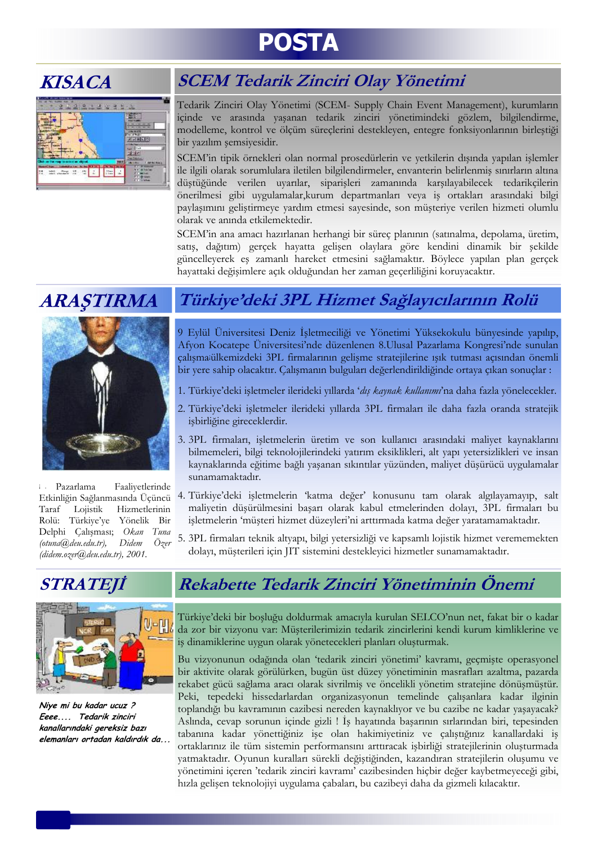# **POSTA**

## **KISACA**

|     |        | <b>ALCOHOL</b>                      |  |
|-----|--------|-------------------------------------|--|
|     |        | ----<br><b>AT ANY YOUR DIRECTOR</b> |  |
|     |        | <b>CALL MARY</b><br>$-257$          |  |
|     |        | 자기하지만                               |  |
|     |        |                                     |  |
|     |        | <b>Contract Contract Contract</b>   |  |
|     |        | <b>Salt True</b><br><b>Store</b>    |  |
|     |        | Two Estations                       |  |
|     |        |                                     |  |
| 4.8 | Limes. |                                     |  |

## **SCEM Tedarik Zinciri Olay Yönetimi**

Tedarik Zinciri Olay Yönetimi (SCEM- Supply Chain Event Management), kurumların içinde ve arasında yaşanan tedarik zinciri yönetimindeki gözlem, bilgilendirme, modelleme, kontrol ve ölcüm süreclerini destekleyen, entegre fonksiyonlarının birleştiği bir yazılım şemsiyesidir.

SCEM'in tipik örnekleri olan normal prosedürlerin ve yetkilerin dışında yapılan işlemler ile ilgili olarak sorumlulara iletilen bilgilendirmeler, envanterin belirlenmiş sınırların altına düstüğünde verilen uyarılar, siparisleri zamanında karsılayabilecek tedarikcilerin önerilmesi gibi uygulamalar, kurum departmanları veya iş ortakları arasındaki bilgi paylaşımını geliştirmeye yardım etmesi sayesinde, son müşteriye verilen hizmeti olumlu olarak ve anında etkilemektedir.

SCEM'in ana amacı hazırlanan herhangi bir süreç planının (satınalma, depolama, üretim, satış, dağıtım) gerçek hayatta gelişen olaylara göre kendini dinamik bir şekilde güncelleyerek eş zamanlı hareket etmesini sağlamaktır. Böylece yapılan plan gerçek hayattaki değişimlere açık olduğundan her zaman geçerliliğini koruyacaktır.

## **ARAȘTIRMA**



Pazarlama Faaliyetlerinde Taraf Lojistik Hizmetlerinin Rolü: Türkiye'ye Yönelik Bir Delphi Çalışması; Okan Tuna  $(otuna@, deu.edu.tr),$ Didem Özer  $(didem. ozer@deu.edu.tr)$ , 2001.

## STRATEJİ



Niye mi bu kadar ucuz ? Eeee.... Tedarik zinciri kanallarındaki gereksiz bazı elemanları ortadan kaldırdık da

## Türkiye'deki 3PL Hizmet Sağlayıcılarının Rolü

9 Eylül Üniversitesi Deniz İşletmeciliği ve Yönetimi Yüksekokulu bünyesinde yapılıp, Afyon Kocatepe Üniversitesi'nde düzenlenen 8.Ulusal Pazarlama Kongresi'nde sunulan calısmaülkemizdeki 3PL firmalarının gelisme stratejilerine ısık tutması acısından önemli bir yere sahip olacaktır. Çalışmanın bulguları değerlendirildiğinde ortaya çıkan sonuçlar :

- 1. Türkiye'deki isletmeler ilerideki yıllarda 'dış kaynak kullanımı'na daha fazla yönelecekler.
- 2. Türkiye'deki işletmeler ilerideki yıllarda 3PL firmaları ile daha fazla oranda stratejik işbirliğine gireceklerdir.
- 3. 3PL firmaları, işletmelerin üretim ve son kullanıcı arasındaki maliyet kaynaklarını bilmemeleri, bilgi teknolojilerindeki yatırım eksiklikleri, alt yapı yetersizlikleri ve insan kaynaklarında eğitime bağlı yaşanan sıkıntılar yüzünden, maliyet düşürücü uygulamalar sunamamaktadır.
- Etkinliğin Sağlanmasında Üçüncü<sup>4</sup>. Türkiye'deki işletmelerin 'katma değer' konusunu tam olarak algılayamayıp, salt maliyetin düşürülmesini başarı olarak kabul etmelerinden dolayı, 3PL firmaları bu işletmelerin 'müşteri hizmet düzeyleri'ni arttırmada katma değer yaratamamaktadır.
	- 5. 3PL firmaları teknik altyapı, bilgi yetersizliği ve kapsamlı lojistik hizmet verememekten dolayı, müşterileri için JIT sistemini destekleyici hizmetler sunamamaktadır.

## Rekabette Tedarik Zinciri Yönetiminin Önemi

Türkiye'deki bir boşluğu doldurmak amacıyla kurulan SELCO'nun net, fakat bir o kadar da zor bir vizyonu var: Müşterilerimizin tedarik zincirlerini kendi kurum kimliklerine ve iş dinamiklerine uygun olarak yönetecekleri planları oluşturmak.

Bu vizyonunun odağında olan 'tedarik zinciri yönetimi' kavramı, geçmişte operasyonel bir aktivite olarak görülürken, bugün üst düzey yönetiminin masrafları azaltma, pazarda rekabet gücü sağlama aracı olarak sivrilmiş ve öncelikli yönetim stratejine dönüşmüştür. Peki, tepedeki hissedarlardan organizasyonun temelinde çalışanlara kadar ilginin toplandığı bu kavramının cazibesi nereden kaynaklıyor ve bu cazibe ne kadar yasayacak? Aslında, cevap sorunun içinde gizli ! İş hayatında başarının sırlarından biri, tepesinden tabanına kadar yönettiğiniz ise olan hakimiyetiniz ve çalıştığınız kanallardaki iş ortaklarınız ile tüm sistemin performansını arttıracak işbirliği stratejilerinin oluşturmada yatmaktadır. Oyunun kuralları sürekli değiştiğinden, kazandıran stratejilerin oluşumu ve yönetimini içeren 'tedarik zinciri kavramı' cazibesinden hiçbir değer kaybetmeyeceği gibi, hızla gelişen teknolojiyi uygulama çabaları, bu cazibeyi daha da gizmeli kılacaktır.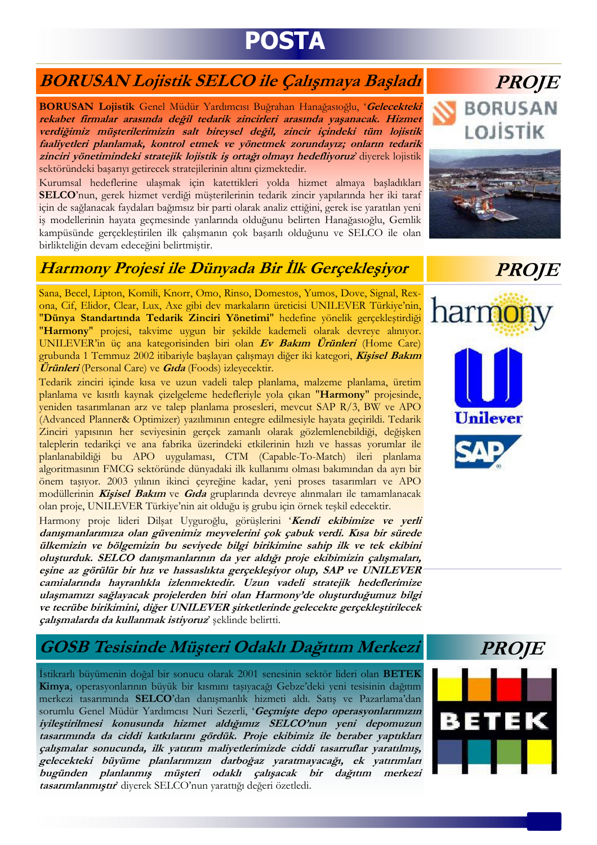# **POSTA**

## **BORUSAN Lojistik SELCO ile Çalışmaya Başladı**

BORUSAN Lojistik Genel Müdür Yardımcısı Buğrahan Hanağasıoğlu, 'Gelecekteki rekabet firmalar arasında değil tedarik zincirleri arasında yaşanacak. Hizmet verdiğimiz müşterilerimizin salt bireysel değil, zincir içindeki tüm lojistik faaliyetleri planlamak, kontrol etmek ve yönetmek zorundayız; onların tedarik zinciri yönetimindeki stratejik lojistik iş ortağı olmayı hedefliyoruz diyerek lojistik sektöründeki başarıyı getirecek stratejilerinin altını çizmektedir.

Kurumsal hedeflerine ulaşmak için katettikleri yolda hizmet almaya başladıkları SELCO'nun, gerek hizmet verdiği müşterilerinin tedarik zincir yapılarında her iki taraf için de sağlanacak faydaları bağımsız bir parti olarak analiz ettiğini, gerek ise yaratılan yeni iş modellerinin hayata geçmesinde yanlarında olduğunu belirten Hanağasıoğlu, Gemlik kampüsünde gerçekleştirilen ilk çalışmanın çok başarılı olduğunu ve SELCO ile olan birlikteliğin devam edeceğini belirtmiştir.

## Harmony Projesi ile Dünyada Bir İlk Gerçekleşiyor

Sana, Becel, Lipton, Komili, Knorr, Omo, Rinso, Domestos, Yumos, Dove, Signal, Rexona, Cif, Elidor, Clear, Lux, Axe gibi dev markaların üreticisi UNILEVER Türkiye'nin, "Dünya Standartında Tedarik Zinciri Yönetimi" hedefine yönelik gerçekleştirdiği "Harmony" projesi, takvime uygun bir şekilde kademeli olarak devreye alınıyor. UNILEVER'in üc ana kategorisinden biri olan Ev Bakım Ürünleri (Home Care) grubunda 1 Temmuz 2002 itibariyle başlayan çalışmayı diğer iki kategori, Kişisel Bakım **Ürünleri** (Personal Care) ve **Gıda** (Foods) izleyecektir.

Tedarik zinciri içinde kısa ve uzun vadeli talep planlama, malzeme planlama, üretim planlama ve kısıtlı kaynak çizelgeleme hedefleriyle yola çıkan "Harmony" projesinde, yeniden tasarımlanan arz ve talep planlama prosesleri, mevcut SAP R/3, BW ve APO (Advanced Planner& Optimizer) yazılımının entegre edilmesiyle hayata geçirildi. Tedarik Zinciri yapısının her seviyesinin gerçek zamanlı olarak gözlemlenebildiği, değişken taleplerin tedarikçi ve ana fabrika üzerindeki etkilerinin hızlı ve hassas yorumlar ile planlanabildiği bu APO uygulaması, CTM (Capable-To-Match) ileri planlama algoritmasının FMCG sektöründe dünyadaki ilk kullanımı olması bakımından da ayrı bir önem taşıyor. 2003 yılının ikinci çeyreğine kadar, yeni proses tasarımları ve APO modüllerinin Kişisel Bakım ve Gıda gruplarında devreye alınmaları ile tamamlanacak olan proje, UNILEVER Türkiye'nin ait olduğu iş grubu için örnek teşkil edecektir.

Harmony proje lideri Dilşat Uyguroğlu, görüşlerini 'Kendi ekibimize ve yerli danışmanlarımıza olan güvenimiz meyvelerini çok çabuk verdi. Kısa bir sürede ülkemizin ve bölgemizin bu seviyede bilgi birikimine sahip ilk ve tek ekibini oluşturduk. SELCO danışmanlarının da yer aldığı proje ekibimizin çalışmaları, eşine az görülür bir hız ve hassaslıkta gerçekleşiyor olup, SAP ve UNILEVER camialarında hayranlıkla izlenmektedir. Uzun vadeli stratejik hedeflerimize ulaşmamızı sağlayacak projelerden biri olan Harmony'de oluşturduğumuz bilgi ve tecrübe birikimini, diğer UNILEVER şirketlerinde gelecekte gerçekleştirilecek çalışmalarda da kullanmak istiyoruz' şeklinde belirtti.

# **PROJE BORUSAN** LOJİSTİK



## **PROJE**





## GOSB Tesisinde Müşteri Odaklı Dağıtım Merkezi

İstikrarlı büyümenin doğal bir sonucu olarak 2001 senesinin sektör lideri olan BETEK Kimya, operasyonlarının büyük bir kısmını tasıyacağı Gebze'deki yeni tesisinin dağıtım merkezi tasarımında SELCO'dan danışmanlık hizmeti aldı. Satış ve Pazarlama'dan sorumlu Genel Müdür Yardımcısı Nuri Sezerli, 'Geçmişte depo operasyonlarımızın iyileştirilmesi konusunda hizmet aldığımız SELCO'nun yeni depomuzun tasarımında da ciddi katkılarını gördük. Proje ekibimiz ile beraber yaptıkları çalışmalar sonucunda, ilk yatırım maliyetlerimizde ciddi tasarruflar yaratılmış, gelecekteki büyüme planlarımızın darboğaz yaratmayacağı, ek yatırımları bugünden planlanmış müşteri odaklı çalışacak bir dağıtım merkezi tasarımlanmıştır' diyerek SELCO'nun yarattığı değeri özetledi.